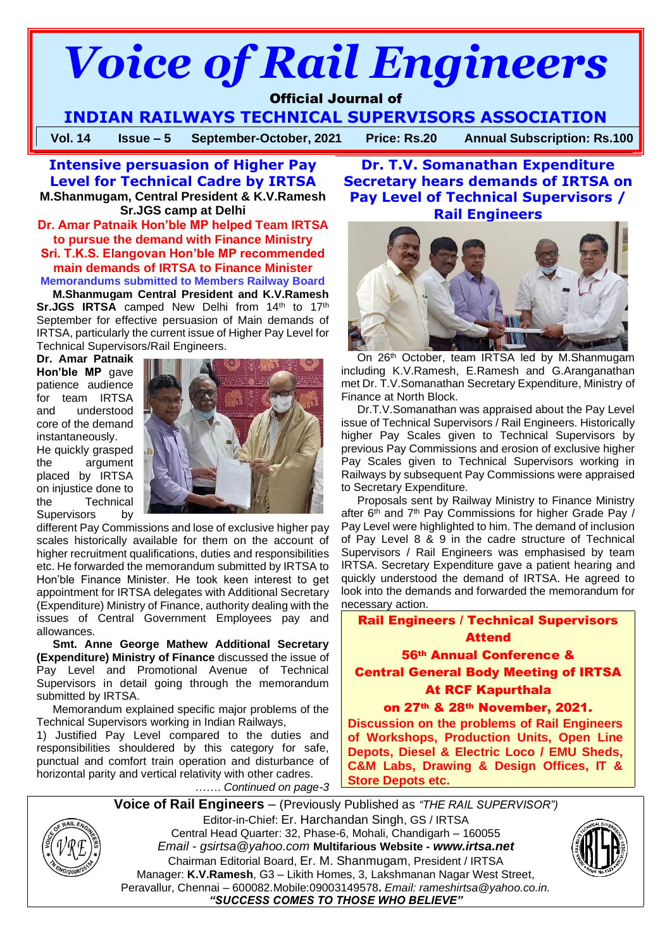# *Voice of Rail Engineers*

# Official Journal of

**INDIAN RAILWAYS TECHNICAL SUPERVISORS ASSOCIATION**

**Vol. 14 Issue – 5 September-October, 2021 Price: Rs.20 Annual Subscription: Rs.100**

**Intensive persuasion of Higher Pay Level for Technical Cadre by IRTSA M.Shanmugam, Central President & K.V.Ramesh Sr.JGS camp at Delhi**

**Dr. Amar Patnaik Hon'ble MP helped Team IRTSA to pursue the demand with Finance Ministry Sri. T.K.S. Elangovan Hon'ble MP recommended main demands of IRTSA to Finance Minister Memorandums submitted to Members Railway Board**

**M.Shanmugam Central President and K.V.Ramesh Sr.JGS IRTSA** camped New Delhi from 14<sup>th</sup> to 17<sup>th</sup> September for effective persuasion of Main demands of IRTSA, particularly the current issue of Higher Pay Level for Technical Supervisors/Rail Engineers.

**Dr. Amar Patnaik Hon'ble MP** gave patience audience for team IRTSA and understood core of the demand instantaneously.

He quickly grasped the argument placed by IRTSA on injustice done to the Technical Supervisors by



different Pay Commissions and lose of exclusive higher pay scales historically available for them on the account of higher recruitment qualifications, duties and responsibilities etc. He forwarded the memorandum submitted by IRTSA to Hon'ble Finance Minister. He took keen interest to get appointment for IRTSA delegates with Additional Secretary (Expenditure) Ministry of Finance, authority dealing with the issues of Central Government Employees pay and allowances.

**Smt. Anne George Mathew Additional Secretary (Expenditure) Ministry of Finance** discussed the issue of Pay Level and Promotional Avenue of Technical Supervisors in detail going through the memorandum submitted by IRTSA.

Memorandum explained specific major problems of the Technical Supervisors working in Indian Railways,

1) Justified Pay Level compared to the duties and responsibilities shouldered by this category for safe, punctual and comfort train operation and disturbance of horizontal parity and vertical relativity with other cadres.

……. *Continued on page-3*

**Dr. T.V. Somanathan Expenditure Secretary hears demands of IRTSA on Pay Level of Technical Supervisors / Rail Engineers**



On 26th October, team IRTSA led by M.Shanmugam including K.V.Ramesh, E.Ramesh and G.Aranganathan met Dr. T.V.Somanathan Secretary Expenditure, Ministry of Finance at North Block.

Dr.T.V.Somanathan was appraised about the Pay Level issue of Technical Supervisors / Rail Engineers. Historically higher Pay Scales given to Technical Supervisors by previous Pay Commissions and erosion of exclusive higher Pay Scales given to Technical Supervisors working in Railways by subsequent Pay Commissions were appraised to Secretary Expenditure.

Proposals sent by Railway Ministry to Finance Ministry after  $6<sup>th</sup>$  and  $7<sup>th</sup>$  Pay Commissions for higher Grade Pay / Pay Level were highlighted to him. The demand of inclusion of Pay Level 8 & 9 in the cadre structure of Technical Supervisors / Rail Engineers was emphasised by team IRTSA. Secretary Expenditure gave a patient hearing and quickly understood the demand of IRTSA. He agreed to look into the demands and forwarded the memorandum for necessary action.

Rail Engineers / Technical Supervisors Attend 56th Annual Conference & Central General Body Meeting of IRTSA At RCF Kapurthala

on 27th & 28th November, 2021. **Discussion on the problems of Rail Engineers of Workshops, Production Units, Open Line Depots, Diesel & Electric Loco / EMU Sheds, C&M Labs, Drawing & Design Offices, IT & Store Depots etc.**

**Voice of Rail Engineers** – (Previously Published as *"THE RAIL SUPERVISOR")* Editor-in-Chief: Er. Harchandan Singh, GS / IRTSA Central Head Quarter: 32, Phase-6, Mohali, Chandigarh – 160055 *Email - gsirtsa@yahoo.com* **Multifarious Website -** *[www.irtsa.net](http://www.irtsa.net/)* Chairman Editorial Board, Er. M. Shanmugam, President / IRTSA Manager: **K.V.Ramesh**, G3 – Likith Homes, 3, Lakshmanan Nagar West Street, Peravallur, Chennai – 600082.Mobile:09003149578**.** *Email: [rameshirtsa@yahoo.co.in.](mailto:rameshirtsa@yahoo.co.in) "SUCCESS COMES TO THOSE WHO BELIEVE"*



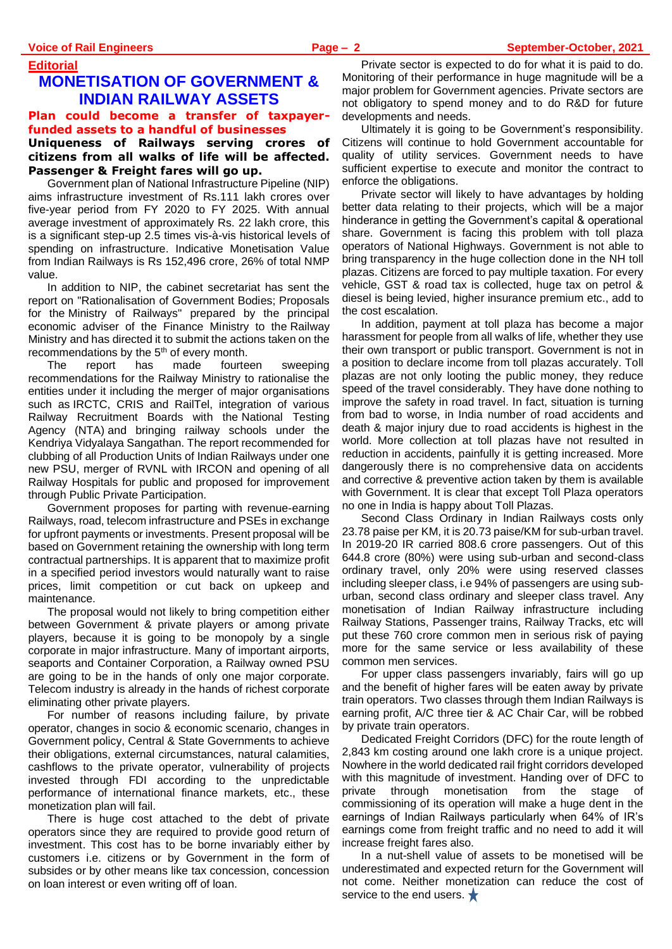# **Editorial MONETISATION OF GOVERNMENT &**

# **INDIAN RAILWAY ASSETS Plan could become a transfer of taxpayerfunded assets to a handful of businesses**

# **Uniqueness of Railways serving crores of citizens from all walks of life will be affected. Passenger & Freight fares will go up.**

Government plan of National Infrastructure Pipeline (NIP) aims infrastructure investment of Rs.111 lakh crores over five-year period from FY 2020 to FY 2025. With annual average investment of approximately Rs. 22 lakh crore, this is a significant step-up 2.5 times vis-à-vis historical levels of spending on infrastructure. Indicative Monetisation Value from Indian Railways is Rs 152,496 crore, 26% of total NMP value.

In addition to NIP, the cabinet secretariat has sent the report on "Rationalisation of Government Bodies; Proposals for the Ministry of Railways" prepared by the principal economic adviser of the Finance Ministry to the Railway Ministry and has directed it to submit the actions taken on the recommendations by the 5<sup>th</sup> of every month.

The report has made fourteen sweeping recommendations for the Railway Ministry to rationalise the entities under it including the merger of major organisations such as IRCTC, CRIS and RailTel, integration of various Railway Recruitment Boards with the National Testing Agency (NTA) and bringing railway schools under the Kendriya Vidyalaya Sangathan. The report recommended for clubbing of all Production Units of Indian Railways under one new PSU, merger of RVNL with IRCON and opening of all Railway Hospitals for public and proposed for improvement through Public Private Participation.

Government proposes for parting with revenue-earning Railways, road, telecom infrastructure and PSEs in exchange for upfront payments or investments. Present proposal will be based on Government retaining the ownership with long term contractual partnerships. It is apparent that to maximize profit in a specified period investors would naturally want to raise prices, limit competition or cut back on upkeep and maintenance.

The proposal would not likely to bring competition either between Government & private players or among private players, because it is going to be monopoly by a single corporate in major infrastructure. Many of important airports, seaports and Container Corporation, a Railway owned PSU are going to be in the hands of only one major corporate. Telecom industry is already in the hands of richest corporate eliminating other private players.

For number of reasons including failure, by private operator, changes in socio & economic scenario, changes in Government policy, Central & State Governments to achieve their obligations, external circumstances, natural calamities, cashflows to the private operator, vulnerability of projects invested through FDI according to the unpredictable performance of international finance markets, etc., these monetization plan will fail.

There is huge cost attached to the debt of private operators since they are required to provide good return of investment. This cost has to be borne invariably either by customers i.e. citizens or by Government in the form of subsides or by other means like tax concession, concession on loan interest or even writing off of loan.

Private sector is expected to do for what it is paid to do. Monitoring of their performance in huge magnitude will be a major problem for Government agencies. Private sectors are not obligatory to spend money and to do R&D for future developments and needs.

Ultimately it is going to be Government's responsibility. Citizens will continue to hold Government accountable for quality of utility services. Government needs to have sufficient expertise to execute and monitor the contract to enforce the obligations.

Private sector will likely to have advantages by holding better data relating to their projects, which will be a major hinderance in getting the Government's capital & operational share. Government is facing this problem with toll plaza operators of National Highways. Government is not able to bring transparency in the huge collection done in the NH toll plazas. Citizens are forced to pay multiple taxation. For every vehicle, GST & road tax is collected, huge tax on petrol & diesel is being levied, higher insurance premium etc., add to the cost escalation.

In addition, payment at toll plaza has become a major harassment for people from all walks of life, whether they use their own transport or public transport. Government is not in a position to declare income from toll plazas accurately. Toll plazas are not only looting the public money, they reduce speed of the travel considerably. They have done nothing to improve the safety in road travel. In fact, situation is turning from bad to worse, in India number of road accidents and death & major injury due to road accidents is highest in the world. More collection at toll plazas have not resulted in reduction in accidents, painfully it is getting increased. More dangerously there is no comprehensive data on accidents and corrective & preventive action taken by them is available with Government. It is clear that except Toll Plaza operators no one in India is happy about Toll Plazas.

Second Class Ordinary in Indian Railways costs only 23.78 paise per KM, it is 20.73 paise/KM for sub-urban travel. In 2019-20 IR carried 808.6 crore passengers. Out of this 644.8 crore (80%) were using sub-urban and second-class ordinary travel, only 20% were using reserved classes including sleeper class, i.e 94% of passengers are using suburban, second class ordinary and sleeper class travel. Any monetisation of Indian Railway infrastructure including Railway Stations, Passenger trains, Railway Tracks, etc will put these 760 crore common men in serious risk of paying more for the same service or less availability of these common men services.

For upper class passengers invariably, fairs will go up and the benefit of higher fares will be eaten away by private train operators. Two classes through them Indian Railways is earning profit, A/C three tier & AC Chair Car, will be robbed by private train operators.

Dedicated Freight Corridors (DFC) for the route length of 2,843 km costing around one lakh crore is a unique project. Nowhere in the world dedicated rail fright corridors developed with this magnitude of investment. Handing over of DFC to private through monetisation from the stage of commissioning of its operation will make a huge dent in the earnings of Indian Railways particularly when 64% of IR's earnings come from freight traffic and no need to add it will increase freight fares also.

In a nut-shell value of assets to be monetised will be underestimated and expected return for the Government will not come. Neither monetization can reduce the cost of service to the end users.  $\bigstar$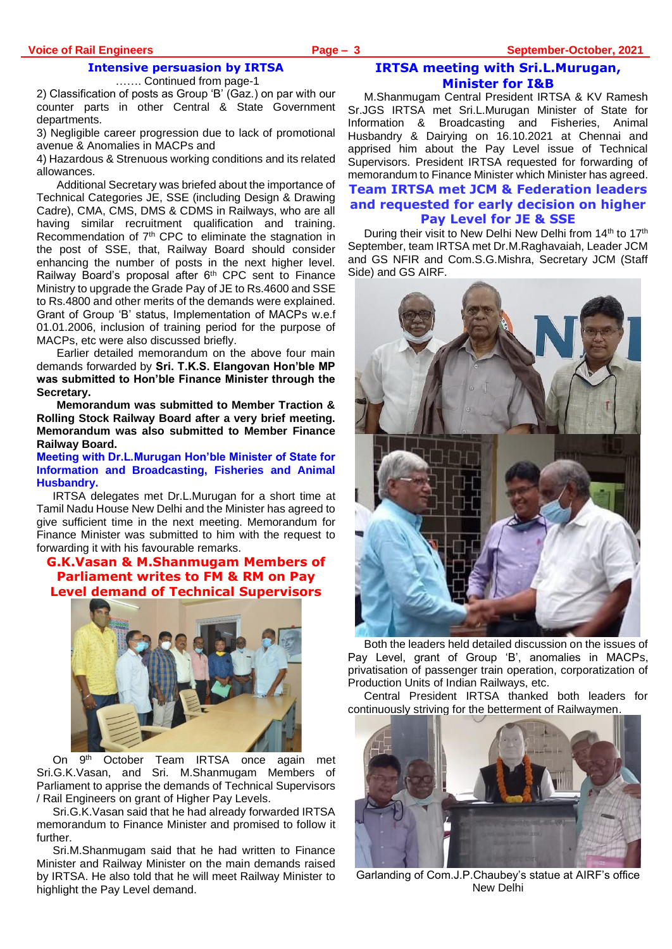# **Intensive persuasion by IRTSA**

……. Continued from page-1

2) Classification of posts as Group 'B' (Gaz.) on par with our counter parts in other Central & State Government departments.

3) Negligible career progression due to lack of promotional avenue & Anomalies in MACPs and

4) Hazardous & Strenuous working conditions and its related allowances.

Additional Secretary was briefed about the importance of Technical Categories JE, SSE (including Design & Drawing Cadre), CMA, CMS, DMS & CDMS in Railways, who are all having similar recruitment qualification and training. Recommendation of 7th CPC to eliminate the stagnation in the post of SSE, that, Railway Board should consider enhancing the number of posts in the next higher level. Railway Board's proposal after 6th CPC sent to Finance Ministry to upgrade the Grade Pay of JE to Rs.4600 and SSE to Rs.4800 and other merits of the demands were explained. Grant of Group 'B' status, Implementation of MACPs w.e.f 01.01.2006, inclusion of training period for the purpose of MACPs, etc were also discussed briefly.

Earlier detailed memorandum on the above four main demands forwarded by **Sri. T.K.S. Elangovan Hon'ble MP was submitted to Hon'ble Finance Minister through the Secretary.** 

**Memorandum was submitted to Member Traction & Rolling Stock Railway Board after a very brief meeting. Memorandum was also submitted to Member Finance Railway Board.** 

**Meeting with Dr.L.Murugan Hon'ble Minister of State for Information and Broadcasting, Fisheries and Animal Husbandry.** 

IRTSA delegates met Dr.L.Murugan for a short time at Tamil Nadu House New Delhi and the Minister has agreed to give sufficient time in the next meeting. Memorandum for Finance Minister was submitted to him with the request to forwarding it with his favourable remarks.

# **G.K.Vasan & M.Shanmugam Members of Parliament writes to FM & RM on Pay Level demand of Technical Supervisors**



 $On$ October Team IRTSA once again met Sri.G.K.Vasan, and Sri. M.Shanmugam Members of Parliament to apprise the demands of Technical Supervisors / Rail Engineers on grant of Higher Pay Levels.

Sri.G.K.Vasan said that he had already forwarded IRTSA memorandum to Finance Minister and promised to follow it further.

Sri.M.Shanmugam said that he had written to Finance Minister and Railway Minister on the main demands raised by IRTSA. He also told that he will meet Railway Minister to highlight the Pay Level demand.

# **IRTSA meeting with Sri.L.Murugan, Minister for I&B**

M.Shanmugam Central President IRTSA & KV Ramesh Sr.JGS IRTSA met Sri.L.Murugan Minister of State for Information & Broadcasting and Fisheries, Animal Husbandry & Dairying on 16.10.2021 at Chennai and apprised him about the Pay Level issue of Technical Supervisors. President IRTSA requested for forwarding of memorandum to Finance Minister which Minister has agreed.

# **Team IRTSA met JCM & Federation leaders and requested for early decision on higher Pay Level for JE & SSE**

During their visit to New Delhi New Delhi from 14<sup>th</sup> to 17<sup>th</sup> September, team IRTSA met Dr.M.Raghavaiah, Leader JCM and GS NFIR and Com.S.G.Mishra, Secretary JCM (Staff Side) and GS AIRF.



Both the leaders held detailed discussion on the issues of Pay Level, grant of Group 'B', anomalies in MACPs, privatisation of passenger train operation, corporatization of Production Units of Indian Railways, etc.

Central President IRTSA thanked both leaders for continuously striving for the betterment of Railwaymen.



Garlanding of Com.J.P.Chaubey's statue at AIRF's office New Delhi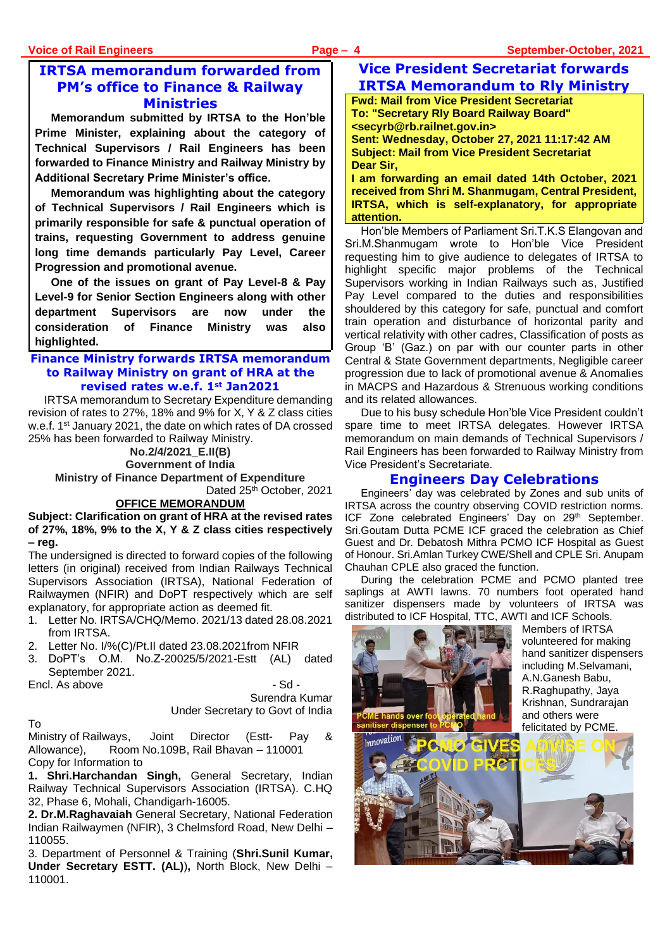# **IRTSA memorandum forwarded from PM's office to Finance & Railway Ministries**

**Memorandum submitted by IRTSA to the Hon'ble Prime Minister, explaining about the category of Technical Supervisors / Rail Engineers has been forwarded to Finance Ministry and Railway Ministry by Additional Secretary Prime Minister's office.**

**Memorandum was highlighting about the category of Technical Supervisors / Rail Engineers which is primarily responsible for safe & punctual operation of trains, requesting Government to address genuine long time demands particularly Pay Level, Career Progression and promotional avenue.** 

**One of the issues on grant of Pay Level-8 & Pay Level-9 for Senior Section Engineers along with other department Supervisors are now under the consideration of Finance Ministry was also highlighted.** 

# **Finance Ministry forwards IRTSA memorandum to Railway Ministry on grant of HRA at the revised rates w.e.f. 1st Jan2021**

IRTSA memorandum to Secretary Expenditure demanding revision of rates to 27%, 18% and 9% for X, Y & Z class cities w.e.f. 1st January 2021, the date on which rates of DA crossed 25% has been forwarded to Railway Ministry.

**No.2/4/2021\_E.II(B) Government of India**

**Ministry of Finance Department of Expenditure** Dated 25<sup>th</sup> October, 2021

# **OFFICE MEMORANDUM**

**Subject: Clarification on grant of HRA at the revised rates of 27%, 18%, 9% to the X, Y & Z class cities respectively – reg.**

The undersigned is directed to forward copies of the following letters (in original) received from Indian Railways Technical Supervisors Association (IRTSA), National Federation of Railwaymen (NFIR) and DoPT respectively which are self explanatory, for appropriate action as deemed fit.

- 1. Letter No. IRTSA/CHQ/Memo. 2021/13 dated 28.08.2021 from IRTSA.
- 2. Letter No. I/%(C)/Pt.II dated 23.08.2021from NFIR
- 3. DoPT's O.M. No.Z-20025/5/2021-Estt (AL) dated September 2021.

Encl. As above  $-$  Sd -

Surendra Kumar Under Secretary to Govt of India

To

Ministry of Railways, Joint Director (Estt- Pay & Allowance), Room No.109B, Rail Bhavan – 110001 Copy for Information to

**1. Shri.Harchandan Singh,** General Secretary, Indian Railway Technical Supervisors Association (IRTSA). C.HQ 32, Phase 6, Mohali, Chandigarh-16005.

**2. Dr.M.Raghavaiah** General Secretary, National Federation Indian Railwaymen (NFIR), 3 Chelmsford Road, New Delhi – 110055.

3. Department of Personnel & Training (**Shri.Sunil Kumar, Under Secretary ESTT. (AL)**)**,** North Block, New Delhi – 110001.

# **Vice President Secretariat forwards IRTSA Memorandum to Rly Ministry**

**Fwd: Mail from Vice President Secretariat To: "Secretary Rly Board Railway Board" <secyrb@rb.railnet.gov.in> Sent: Wednesday, October 27, 2021 11:17:42 AM**

**Subject: Mail from Vice President Secretariat Dear Sir,**

**I am forwarding an email dated 14th October, 2021 received from Shri M. Shanmugam, Central President, IRTSA, which is self-explanatory, for appropriate attention.**

Hon'ble Members of Parliament Sri.T.K.S Elangovan and Sri.M.Shanmugam wrote to Hon'ble Vice President requesting him to give audience to delegates of IRTSA to highlight specific major problems of the Technical Supervisors working in Indian Railways such as, Justified Pay Level compared to the duties and responsibilities shouldered by this category for safe, punctual and comfort train operation and disturbance of horizontal parity and vertical relativity with other cadres, Classification of posts as Group 'B' (Gaz.) on par with our counter parts in other Central & State Government departments, Negligible career progression due to lack of promotional avenue & Anomalies in MACPS and Hazardous & Strenuous working conditions and its related allowances.

Due to his busy schedule Hon'ble Vice President couldn't spare time to meet IRTSA delegates. However IRTSA memorandum on main demands of Technical Supervisors / Rail Engineers has been forwarded to Railway Ministry from Vice President's Secretariate.

# **Engineers Day Celebrations**

Engineers' day was celebrated by Zones and sub units of IRTSA across the country observing COVID restriction norms. ICF Zone celebrated Engineers' Day on 29<sup>th</sup> September. Sri.Goutam Dutta PCME ICF graced the celebration as Chief Guest and Dr. Debatosh Mithra PCMO ICF Hospital as Guest of Honour. Sri.Amlan Turkey CWE/Shell and CPLE Sri. Anupam Chauhan CPLE also graced the function.

During the celebration PCME and PCMO planted tree saplings at AWTI lawns. 70 numbers foot operated hand sanitizer dispensers made by volunteers of IRTSA was distributed to ICF Hospital, TTC, AWTI and ICF Schools.

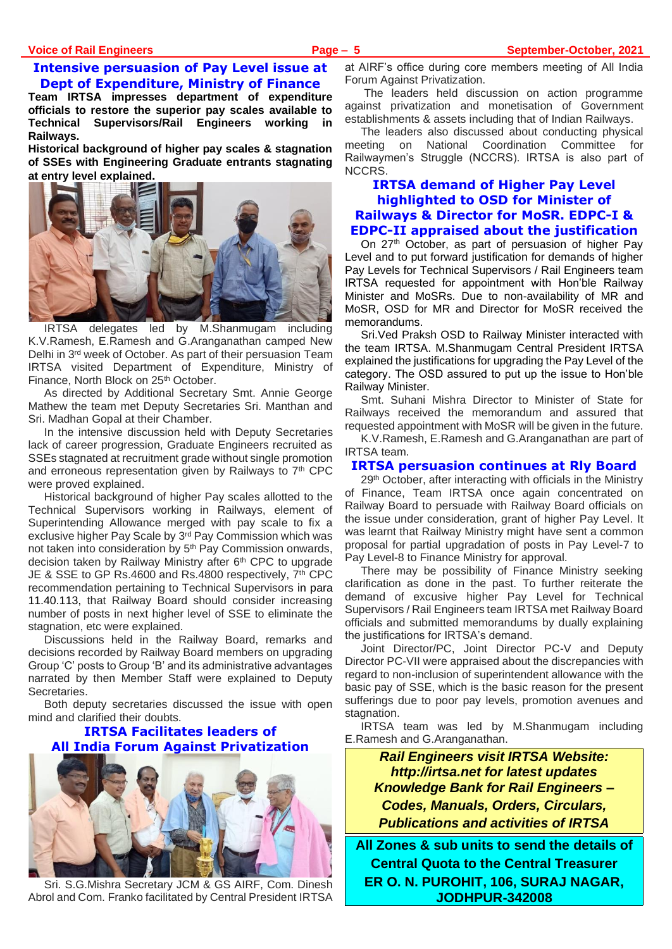# **Intensive persuasion of Pay Level issue at Dept of Expenditure, Ministry of Finance**

**Team IRTSA impresses department of expenditure officials to restore the superior pay scales available to Technical Supervisors/Rail Engineers working in Railways.** 

**Historical background of higher pay scales & stagnation of SSEs with Engineering Graduate entrants stagnating at entry level explained.** 



IRTSA delegates led by M.Shanmugam including K.V.Ramesh, E.Ramesh and G.Aranganathan camped New Delhi in 3rd week of October. As part of their persuasion Team IRTSA visited Department of Expenditure, Ministry of Finance, North Block on 25<sup>th</sup> October.

As directed by Additional Secretary Smt. Annie George Mathew the team met Deputy Secretaries Sri. Manthan and Sri. Madhan Gopal at their Chamber.

In the intensive discussion held with Deputy Secretaries lack of career progression, Graduate Engineers recruited as SSEs stagnated at recruitment grade without single promotion and erroneous representation given by Railways to 7<sup>th</sup> CPC were proved explained.

Historical background of higher Pay scales allotted to the Technical Supervisors working in Railways, element of Superintending Allowance merged with pay scale to fix a exclusive higher Pay Scale by 3rd Pay Commission which was not taken into consideration by 5<sup>th</sup> Pay Commission onwards, decision taken by Railway Ministry after 6<sup>th</sup> CPC to upgrade JE & SSE to GP Rs.4600 and Rs.4800 respectively, 7<sup>th</sup> CPC recommendation pertaining to Technical Supervisors in para 11.40.113, that Railway Board should consider increasing number of posts in next higher level of SSE to eliminate the stagnation, etc were explained.

Discussions held in the Railway Board, remarks and decisions recorded by Railway Board members on upgrading Group 'C' posts to Group 'B' and its administrative advantages narrated by then Member Staff were explained to Deputy Secretaries.

Both deputy secretaries discussed the issue with open mind and clarified their doubts.

# **IRTSA Facilitates leaders of All India Forum Against Privatization**



Sri. S.G.Mishra Secretary JCM & GS AIRF, Com. Dinesh Abrol and Com. Franko facilitated by Central President IRTSA

at AIRF's office during core members meeting of All India Forum Against Privatization.

The leaders held discussion on action programme against privatization and monetisation of Government establishments & assets including that of Indian Railways.

The leaders also discussed about conducting physical meeting on National Coordination Committee for Railwaymen's Struggle (NCCRS). IRTSA is also part of NCCRS.

# **IRTSA demand of Higher Pay Level highlighted to OSD for Minister of Railways & Director for MoSR. EDPC-I & EDPC-II appraised about the justification**

On 27<sup>th</sup> October, as part of persuasion of higher Pay Level and to put forward justification for demands of higher Pay Levels for Technical Supervisors / Rail Engineers team IRTSA requested for appointment with Hon'ble Railway Minister and MoSRs. Due to non-availability of MR and MoSR, OSD for MR and Director for MoSR received the memorandums.

Sri.Ved Praksh OSD to Railway Minister interacted with the team IRTSA. M.Shanmugam Central President IRTSA explained the justifications for upgrading the Pay Level of the category. The OSD assured to put up the issue to Hon'ble Railway Minister.

Smt. Suhani Mishra Director to Minister of State for Railways received the memorandum and assured that requested appointment with MoSR will be given in the future.

K.V.Ramesh, E.Ramesh and G.Aranganathan are part of IRTSA team.

# **IRTSA persuasion continues at Rly Board**

29<sup>th</sup> October, after interacting with officials in the Ministry of Finance, Team IRTSA once again concentrated on Railway Board to persuade with Railway Board officials on the issue under consideration, grant of higher Pay Level. It was learnt that Railway Ministry might have sent a common proposal for partial upgradation of posts in Pay Level-7 to Pay Level-8 to Finance Ministry for approval.

There may be possibility of Finance Ministry seeking clarification as done in the past. To further reiterate the demand of excusive higher Pay Level for Technical Supervisors / Rail Engineers team IRTSA met Railway Board officials and submitted memorandums by dually explaining the justifications for IRTSA's demand.

Joint Director/PC, Joint Director PC-V and Deputy Director PC-VII were appraised about the discrepancies with regard to non-inclusion of superintendent allowance with the basic pay of SSE, which is the basic reason for the present sufferings due to poor pay levels, promotion avenues and stagnation.

IRTSA team was led by M.Shanmugam including E.Ramesh and G.Aranganathan.

> *Rail Engineers visit IRTSA Website: http://irtsa.net for latest updates Knowledge Bank for Rail Engineers – Codes, Manuals, Orders, Circulars, Publications and activities of IRTSA*

**All Zones & sub units to send the details of Central Quota to the Central Treasurer ER O. N. PUROHIT, 106, SURAJ NAGAR, JODHPUR-342008**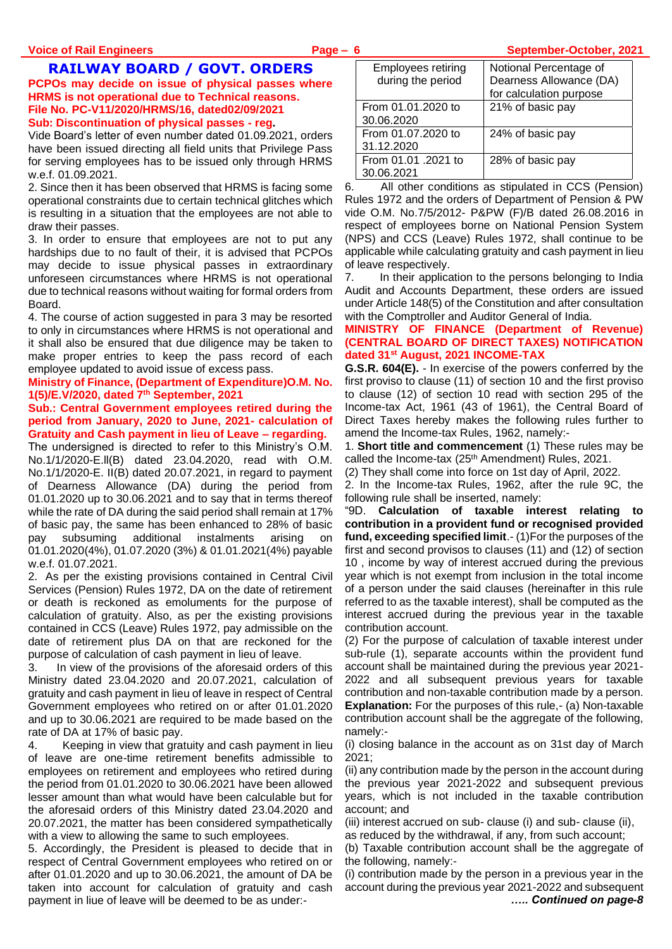**Voice of Rail Engineers Page – 6 September-October, 2021**

# **RAILWAY BOARD / GOVT. ORDERS**

**PCPOs may decide on issue of physical passes where HRMS is not operational due to Technical reasons. File No. PC-V11/2020/HRMS/16, dated02/09/2021 Sub: Discontinuation of physical passes - reg.**

Vide Board's letter of even number dated 01.09.2021, orders have been issued directing all field units that Privilege Pass for serving employees has to be issued only through HRMS w.e.f. 01.09.2021.

2. Since then it has been observed that HRMS is facing some operational constraints due to certain technical glitches which is resulting in a situation that the employees are not able to draw their passes.

3. In order to ensure that employees are not to put any hardships due to no fault of their, it is advised that PCPOs may decide to issue physical passes in extraordinary unforeseen circumstances where HRMS is not operational due to technical reasons without waiting for formal orders from Board.

4. The course of action suggested in para 3 may be resorted to only in circumstances where HRMS is not operational and it shall also be ensured that due diligence may be taken to make proper entries to keep the pass record of each employee updated to avoid issue of excess pass.

**Ministry of Finance, (Department of Expenditure)O.M. No. 1(5)/E.V/2020, dated 7th September, 2021**

#### **Sub.: Central Government employees retired during the period from January, 2020 to June, 2021- calculation of Gratuity and Cash payment in lieu of Leave – regarding.**

The undersigned is directed to refer to this Ministry's O.M. No.1/1/2020-E.ll(B) dated 23.04.2020, read with O.M. No.1/1/2020-E. II(B) dated 20.07.2021, in regard to payment of Dearness Allowance (DA) during the period from 01.01.2020 up to 30.06.2021 and to say that in terms thereof while the rate of DA during the said period shall remain at 17% of basic pay, the same has been enhanced to 28% of basic pay subsuming additional instalments arising on 01.01.2020(4%), 01.07.2020 (3%) & 01.01.2021(4%) payable w.e.f. 01.07.2021.

2. As per the existing provisions contained in Central Civil Services (Pension) Rules 1972, DA on the date of retirement or death is reckoned as emoluments for the purpose of calculation of gratuity. Also, as per the existing provisions contained in CCS (Leave) Rules 1972, pay admissible on the date of retirement plus DA on that are reckoned for the purpose of calculation of cash payment in lieu of leave.

3. In view of the provisions of the aforesaid orders of this Ministry dated 23.04.2020 and 20.07.2021, calculation of gratuity and cash payment in lieu of leave in respect of Central Government employees who retired on or after 01.01.2020 and up to 30.06.2021 are required to be made based on the rate of DA at 17% of basic pay.

4. Keeping in view that gratuity and cash payment in lieu of leave are one-time retirement benefits admissible to employees on retirement and employees who retired during the period from 01.01.2020 to 30.06.2021 have been allowed lesser amount than what would have been calculable but for the aforesaid orders of this Ministry dated 23.04.2020 and 20.07.2021, the matter has been considered sympathetically with a view to allowing the same to such employees.

5. Accordingly, the President is pleased to decide that in respect of Central Government employees who retired on or after 01.01.2020 and up to 30.06.2021, the amount of DA be taken into account for calculation of gratuity and cash payment in liue of leave will be deemed to be as under:-

| <b>Employees retiring</b><br>during the period | Notional Percentage of<br>Dearness Allowance (DA)<br>for calculation purpose |
|------------------------------------------------|------------------------------------------------------------------------------|
| From 01.01.2020 to<br>30.06.2020               | 21% of basic pay                                                             |
| From 01.07.2020 to<br>31.12.2020               | 24% of basic pay                                                             |
| From 01.01.2021 to<br>30.06.2021               | 28% of basic pay                                                             |

6. All other conditions as stipulated in CCS (Pension) Rules 1972 and the orders of Department of Pension & PW vide O.M. No.7/5/2012- P&PW (F)/B dated 26.08.2016 in respect of employees borne on National Pension System (NPS) and CCS (Leave) Rules 1972, shall continue to be applicable while calculating gratuity and cash payment in lieu of leave respectively.

7. In their application to the persons belonging to India Audit and Accounts Department, these orders are issued under Article 148(5) of the Constitution and after consultation with the Comptroller and Auditor General of India.

# **MINISTRY OF FINANCE (Department of Revenue) (CENTRAL BOARD OF DIRECT TAXES) NOTIFICATION dated 31st August, 2021 INCOME-TAX**

**G.S.R. 604(E).** - In exercise of the powers conferred by the first proviso to clause (11) of section 10 and the first proviso to clause (12) of section 10 read with section 295 of the Income-tax Act, 1961 (43 of 1961), the Central Board of Direct Taxes hereby makes the following rules further to amend the Income-tax Rules, 1962, namely:-

1. **Short title and commencement** (1) These rules may be called the Income-tax (25<sup>th</sup> Amendment) Rules, 2021.

(2) They shall come into force on 1st day of April, 2022.

2. In the Income-tax Rules, 1962, after the rule 9C, the following rule shall be inserted, namely:

"9D. **Calculation of taxable interest relating to contribution in a provident fund or recognised provided fund, exceeding specified limit**.- (1)For the purposes of the first and second provisos to clauses (11) and (12) of section 10 , income by way of interest accrued during the previous year which is not exempt from inclusion in the total income of a person under the said clauses (hereinafter in this rule referred to as the taxable interest), shall be computed as the interest accrued during the previous year in the taxable contribution account.

(2) For the purpose of calculation of taxable interest under sub-rule (1), separate accounts within the provident fund account shall be maintained during the previous year 2021- 2022 and all subsequent previous years for taxable contribution and non-taxable contribution made by a person. **Explanation:** For the purposes of this rule, (a) Non-taxable contribution account shall be the aggregate of the following, namely:-

(i) closing balance in the account as on 31st day of March 2021;

(ii) any contribution made by the person in the account during the previous year 2021-2022 and subsequent previous years, which is not included in the taxable contribution account; and

(iii) interest accrued on sub- clause (i) and sub- clause (ii),

as reduced by the withdrawal, if any, from such account;

(b) Taxable contribution account shall be the aggregate of the following, namely:-

(i) contribution made by the person in a previous year in the account during the previous year 2021-2022 and subsequent *….. Continued on page-8*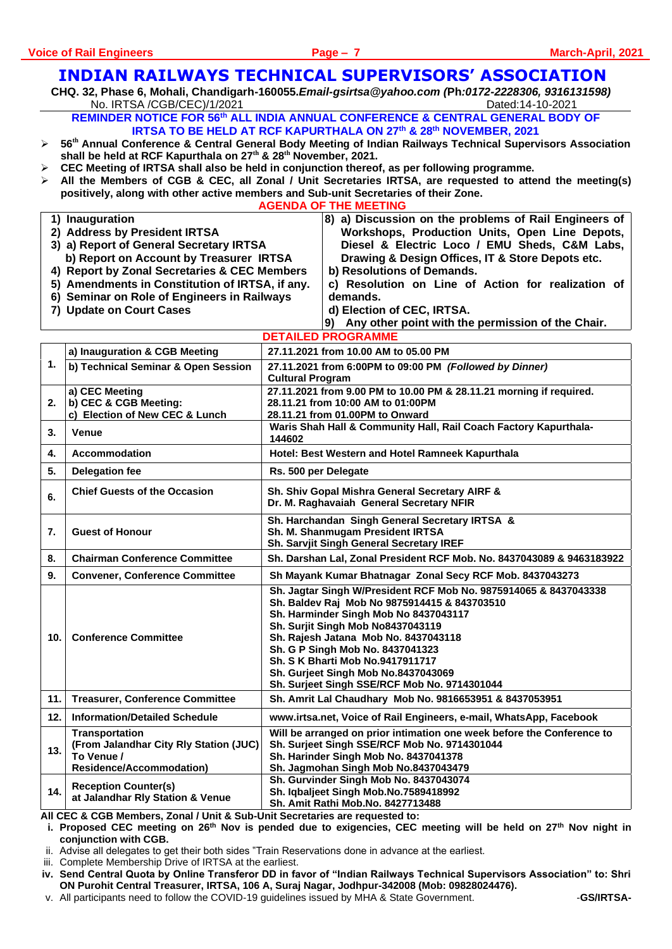# **INDIAN RAILWAYS TECHNICAL SUPERVISORS' ASSOCIATION**

**CHQ. 32, Phase 6, Mohali, Chandigarh-160055.***Email-gsirtsa@yahoo.com (***Ph***:0172-2228306, 9316131598)* No. IRTSA /CGB/CEC)/1/2021 Dated:14-10-2021

**REMINDER NOTICE FOR 56th ALL INDIA ANNUAL CONFERENCE & CENTRAL GENERAL BODY OF IRTSA TO BE HELD AT RCF KAPURTHALA ON 27th & 28th NOVEMBER, 2021**

- ➢ **56th Annual Conference & Central General Body Meeting of Indian Railways Technical Supervisors Association shall be held at RCF Kapurthala on 27th & 28th November, 2021.**
- ➢ **CEC Meeting of IRTSA shall also be held in conjunction thereof, as per following programme.**
- ➢ **All the Members of CGB & CEC, all Zonal / Unit Secretaries IRTSA, are requested to attend the meeting(s) positively, along with other active members and Sub-unit Secretaries of their Zone.**

**AGENDA OF THE MEETING 1) Inauguration 2) Address by President IRTSA 3) a) Report of General Secretary IRTSA b) Report on Account by Treasurer IRTSA 4) Report by Zonal Secretaries & CEC Members 5) Amendments in Constitution of IRTSA, if any. 6) Seminar on Role of Engineers in Railways 7) Update on Court Cases 8) a) Discussion on the problems of Rail Engineers of Workshops, Production Units, Open Line Depots, Diesel & Electric Loco / EMU Sheds, C&M Labs, Drawing & Design Offices, IT & Store Depots etc. b) Resolutions of Demands. c) Resolution on Line of Action for realization of demands. d) Election of CEC, IRTSA. 9) Any other point with the permission of the Chair. DETAILED PROGRAMME 1. a) Inauguration & CGB Meeting 27.11.2021 from 10.00 AM to 05.00 PM b) Technical Seminar & Open Session 27.11.2021 from 6:00PM to 09:00 PM** *(Followed by Dinner)* **Cultural Program 2. a) CEC Meeting b) CEC & CGB Meeting: c) Election of New CEC & Lunch 27.11.2021 from 9.00 PM to 10.00 PM & 28.11.21 morning if required. 28.11.21 from 10:00 AM to 01:00PM 28.11.21 from 01.00PM to Onward 3. Venue Waris Shah Hall & Community Hall, Rail Coach Factory Kapurthala-144602 4. Accommodation Hotel: Best Western and Hotel Ramneek Kapurthala 5. Delegation fee Rs. 500 per Delegate**  6. Chief Guests of the Occasion Sh. Shiv Gopal Mishra General Secretary AIRF & **Dr. M. Raghavaiah General Secretary NFIR 7. Guest of Honour Sh. Harchandan Singh General Secretary IRTSA & Sh. M. Shanmugam President IRTSA Sh. Sarvjit Singh General Secretary IREF 8. Chairman Conference Committee Sh. Darshan Lal, Zonal President RCF Mob. No. 8437043089 & 9463183922 9. Convener, Conference Committee Sh Mayank Kumar Bhatnagar Zonal Secy RCF Mob. 8437043273 10. Conference Committee Sh. Jagtar Singh W/President RCF Mob No. 9875914065 & 8437043338 Sh. Baldev Raj Mob No 9875914415 & 843703510 Sh. Harminder Singh Mob No 8437043117 Sh. Surjit Singh Mob No8437043119 Sh. Rajesh Jatana Mob No. 8437043118 Sh. G P Singh Mob No. 8437041323 Sh. S K Bharti Mob No.9417911717 Sh. Gurjeet Singh Mob No.8437043069 Sh. Surjeet Singh SSE/RCF Mob No. 9714301044 11. Treasurer, Conference Committee Sh. Amrit Lal Chaudhary Mob No. 9816653951 & 8437053951 12. Information/Detailed Schedule www.irtsa.net, Voice of Rail Engineers, e-mail, WhatsApp, Facebook 13. Transportation (From Jalandhar City Rly Station (JUC) To Venue / Residence/Accommodation) Will be arranged on prior intimation one week before the Conference to Sh. Surjeet Singh SSE/RCF Mob No. 9714301044 Sh. Harinder Singh Mob No. 8437041378 Sh. Jagmohan Singh Mob No.8437043479 14. Reception Counter(s) at Jalandhar Rly Station & Venue Sh. Gurvinder Singh Mob No. 8437043074 Sh. Iqbaljeet Singh Mob.No.7589418992 Sh. Amit Rathi Mob.No. 8427713488**

**All CEC & CGB Members, Zonal / Unit & Sub-Unit Secretaries are requested to:**

**i. Proposed CEC meeting on 26th Nov is pended due to exigencies, CEC meeting will be held on 27th Nov night in conjunction with CGB.**

ii. Advise all delegates to get their both sides "Train Reservations done in advance at the earliest.

iii. Complete Membership Drive of IRTSA at the earliest.

**iv. Send Central Quota by Online Transferor DD in favor of "Indian Railways Technical Supervisors Association" to: Shri ON Purohit Central Treasurer, IRTSA, 106 A, Suraj Nagar, Jodhpur-342008 (Mob: 09828024476).**

v. All participants need to follow the COVID-19 guidelines issued by MHA & State Government. -**GS/IRTSA-**